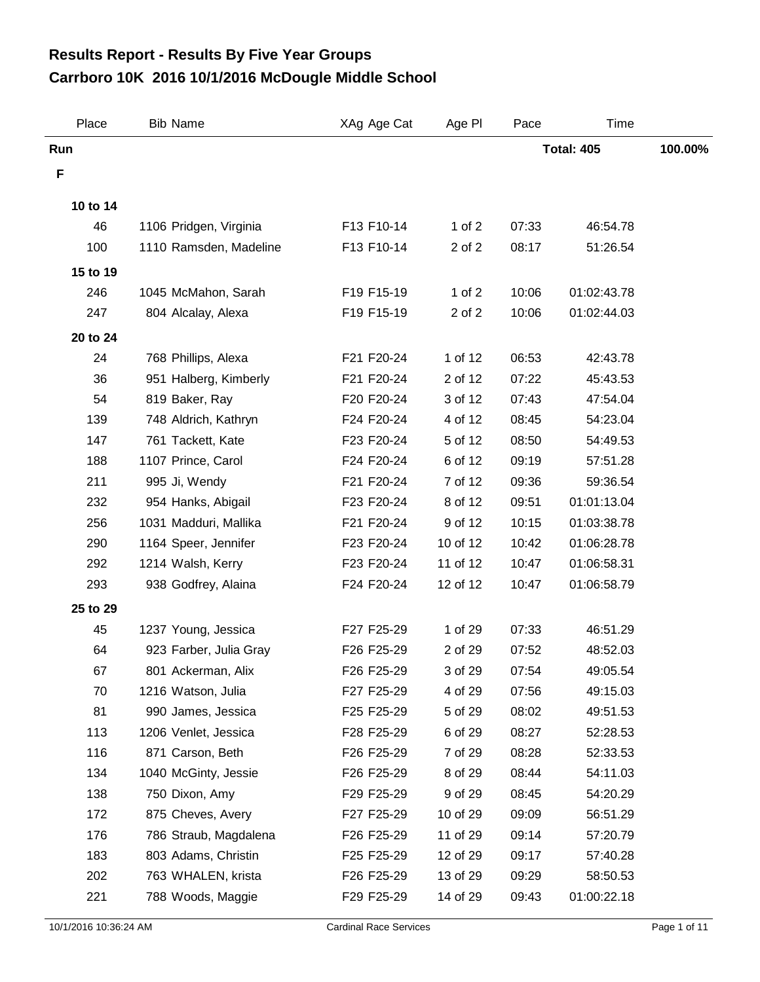## **Carrboro 10K 2016 10/1/2016 McDougle Middle School Results Report - Results By Five Year Groups**

| Place    | <b>Bib Name</b>        | XAg Age Cat | Age PI     | Pace  | Time              |         |
|----------|------------------------|-------------|------------|-------|-------------------|---------|
| Run      |                        |             |            |       | <b>Total: 405</b> | 100.00% |
| F        |                        |             |            |       |                   |         |
| 10 to 14 |                        |             |            |       |                   |         |
| 46       | 1106 Pridgen, Virginia | F13 F10-14  | 1 of $2$   | 07:33 | 46:54.78          |         |
| 100      | 1110 Ramsden, Madeline | F13 F10-14  | 2 of 2     | 08:17 | 51:26.54          |         |
| 15 to 19 |                        |             |            |       |                   |         |
| 246      | 1045 McMahon, Sarah    | F19 F15-19  | $1$ of $2$ | 10:06 | 01:02:43.78       |         |
| 247      | 804 Alcalay, Alexa     | F19 F15-19  | 2 of 2     | 10:06 | 01:02:44.03       |         |
| 20 to 24 |                        |             |            |       |                   |         |
| 24       | 768 Phillips, Alexa    | F21 F20-24  | 1 of 12    | 06:53 | 42:43.78          |         |
| 36       | 951 Halberg, Kimberly  | F21 F20-24  | 2 of 12    | 07:22 | 45:43.53          |         |
| 54       | 819 Baker, Ray         | F20 F20-24  | 3 of 12    | 07:43 | 47:54.04          |         |
| 139      | 748 Aldrich, Kathryn   | F24 F20-24  | 4 of 12    | 08:45 | 54:23.04          |         |
| 147      | 761 Tackett, Kate      | F23 F20-24  | 5 of 12    | 08:50 | 54:49.53          |         |
| 188      | 1107 Prince, Carol     | F24 F20-24  | 6 of 12    | 09:19 | 57:51.28          |         |
| 211      | 995 Ji, Wendy          | F21 F20-24  | 7 of 12    | 09:36 | 59:36.54          |         |
| 232      | 954 Hanks, Abigail     | F23 F20-24  | 8 of 12    | 09:51 | 01:01:13.04       |         |
| 256      | 1031 Madduri, Mallika  | F21 F20-24  | 9 of 12    | 10:15 | 01:03:38.78       |         |
| 290      | 1164 Speer, Jennifer   | F23 F20-24  | 10 of 12   | 10:42 | 01:06:28.78       |         |
| 292      | 1214 Walsh, Kerry      | F23 F20-24  | 11 of 12   | 10:47 | 01:06:58.31       |         |
| 293      | 938 Godfrey, Alaina    | F24 F20-24  | 12 of 12   | 10:47 | 01:06:58.79       |         |
| 25 to 29 |                        |             |            |       |                   |         |
| 45       | 1237 Young, Jessica    | F27 F25-29  | 1 of 29    | 07:33 | 46:51.29          |         |
| 64       | 923 Farber, Julia Gray | F26 F25-29  | 2 of 29    | 07:52 | 48:52.03          |         |
| 67       | 801 Ackerman, Alix     | F26 F25-29  | 3 of 29    | 07:54 | 49:05.54          |         |
| 70       | 1216 Watson, Julia     | F27 F25-29  | 4 of 29    | 07:56 | 49:15.03          |         |
| 81       | 990 James, Jessica     | F25 F25-29  | 5 of 29    | 08:02 | 49:51.53          |         |
| 113      | 1206 Venlet, Jessica   | F28 F25-29  | 6 of 29    | 08:27 | 52:28.53          |         |
| 116      | 871 Carson, Beth       | F26 F25-29  | 7 of 29    | 08:28 | 52:33.53          |         |
| 134      | 1040 McGinty, Jessie   | F26 F25-29  | 8 of 29    | 08:44 | 54:11.03          |         |
| 138      | 750 Dixon, Amy         | F29 F25-29  | 9 of 29    | 08:45 | 54:20.29          |         |
| 172      | 875 Cheves, Avery      | F27 F25-29  | 10 of 29   | 09:09 | 56:51.29          |         |
| 176      | 786 Straub, Magdalena  | F26 F25-29  | 11 of 29   | 09:14 | 57:20.79          |         |
| 183      | 803 Adams, Christin    | F25 F25-29  | 12 of 29   | 09:17 | 57:40.28          |         |
| 202      | 763 WHALEN, krista     | F26 F25-29  | 13 of 29   | 09:29 | 58:50.53          |         |
| 221      | 788 Woods, Maggie      | F29 F25-29  | 14 of 29   | 09:43 | 01:00:22.18       |         |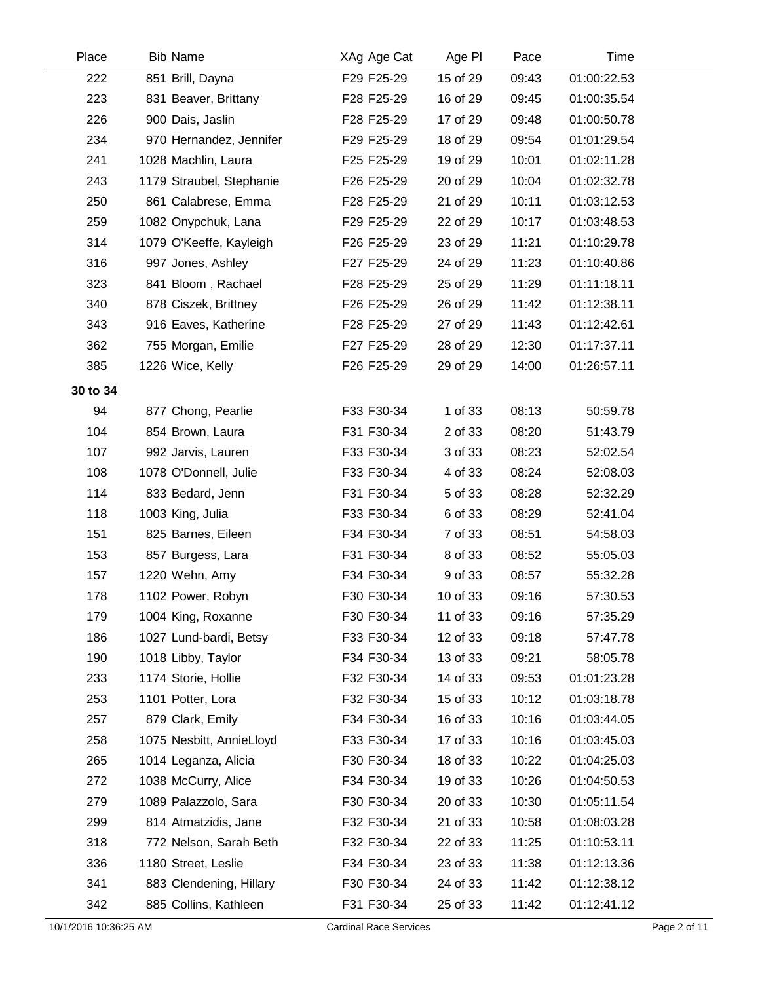| Place    | <b>Bib Name</b>          | XAg Age Cat | Age PI   | Pace  | Time        |  |
|----------|--------------------------|-------------|----------|-------|-------------|--|
| 222      | 851 Brill, Dayna         | F29 F25-29  | 15 of 29 | 09:43 | 01:00:22.53 |  |
| 223      | 831 Beaver, Brittany     | F28 F25-29  | 16 of 29 | 09:45 | 01:00:35.54 |  |
| 226      | 900 Dais, Jaslin         | F28 F25-29  | 17 of 29 | 09:48 | 01:00:50.78 |  |
| 234      | 970 Hernandez, Jennifer  | F29 F25-29  | 18 of 29 | 09:54 | 01:01:29.54 |  |
| 241      | 1028 Machlin, Laura      | F25 F25-29  | 19 of 29 | 10:01 | 01:02:11.28 |  |
| 243      | 1179 Straubel, Stephanie | F26 F25-29  | 20 of 29 | 10:04 | 01:02:32.78 |  |
| 250      | 861 Calabrese, Emma      | F28 F25-29  | 21 of 29 | 10:11 | 01:03:12.53 |  |
| 259      | 1082 Onypchuk, Lana      | F29 F25-29  | 22 of 29 | 10:17 | 01:03:48.53 |  |
| 314      | 1079 O'Keeffe, Kayleigh  | F26 F25-29  | 23 of 29 | 11:21 | 01:10:29.78 |  |
| 316      | 997 Jones, Ashley        | F27 F25-29  | 24 of 29 | 11:23 | 01:10:40.86 |  |
| 323      | 841 Bloom, Rachael       | F28 F25-29  | 25 of 29 | 11:29 | 01:11:18.11 |  |
| 340      | 878 Ciszek, Brittney     | F26 F25-29  | 26 of 29 | 11:42 | 01:12:38.11 |  |
| 343      | 916 Eaves, Katherine     | F28 F25-29  | 27 of 29 | 11:43 | 01:12:42.61 |  |
| 362      | 755 Morgan, Emilie       | F27 F25-29  | 28 of 29 | 12:30 | 01:17:37.11 |  |
| 385      | 1226 Wice, Kelly         | F26 F25-29  | 29 of 29 | 14:00 | 01:26:57.11 |  |
| 30 to 34 |                          |             |          |       |             |  |
| 94       | 877 Chong, Pearlie       | F33 F30-34  | 1 of 33  | 08:13 | 50:59.78    |  |
| 104      | 854 Brown, Laura         | F31 F30-34  | 2 of 33  | 08:20 | 51:43.79    |  |
| 107      | 992 Jarvis, Lauren       | F33 F30-34  | 3 of 33  | 08:23 | 52:02.54    |  |
| 108      | 1078 O'Donnell, Julie    | F33 F30-34  | 4 of 33  | 08:24 | 52:08.03    |  |
| 114      | 833 Bedard, Jenn         | F31 F30-34  | 5 of 33  | 08:28 | 52:32.29    |  |
| 118      | 1003 King, Julia         | F33 F30-34  | 6 of 33  | 08:29 | 52:41.04    |  |
| 151      | 825 Barnes, Eileen       | F34 F30-34  | 7 of 33  | 08:51 | 54:58.03    |  |
| 153      | 857 Burgess, Lara        | F31 F30-34  | 8 of 33  | 08:52 | 55:05.03    |  |
| 157      | 1220 Wehn, Amy           | F34 F30-34  | 9 of 33  | 08:57 | 55:32.28    |  |
| 178      | 1102 Power, Robyn        | F30 F30-34  | 10 of 33 | 09:16 | 57:30.53    |  |
| 179      | 1004 King, Roxanne       | F30 F30-34  | 11 of 33 | 09:16 | 57:35.29    |  |
| 186      | 1027 Lund-bardi, Betsy   | F33 F30-34  | 12 of 33 | 09:18 | 57:47.78    |  |
| 190      | 1018 Libby, Taylor       | F34 F30-34  | 13 of 33 | 09:21 | 58:05.78    |  |
| 233      | 1174 Storie, Hollie      | F32 F30-34  | 14 of 33 | 09:53 | 01:01:23.28 |  |
| 253      | 1101 Potter, Lora        | F32 F30-34  | 15 of 33 | 10:12 | 01:03:18.78 |  |
| 257      | 879 Clark, Emily         | F34 F30-34  | 16 of 33 | 10:16 | 01:03:44.05 |  |
| 258      | 1075 Nesbitt, AnnieLloyd | F33 F30-34  | 17 of 33 | 10:16 | 01:03:45.03 |  |
| 265      | 1014 Leganza, Alicia     | F30 F30-34  | 18 of 33 | 10:22 | 01:04:25.03 |  |
| 272      | 1038 McCurry, Alice      | F34 F30-34  | 19 of 33 | 10:26 | 01:04:50.53 |  |
| 279      | 1089 Palazzolo, Sara     | F30 F30-34  | 20 of 33 | 10:30 | 01:05:11.54 |  |
| 299      | 814 Atmatzidis, Jane     | F32 F30-34  | 21 of 33 | 10:58 | 01:08:03.28 |  |
| 318      | 772 Nelson, Sarah Beth   | F32 F30-34  | 22 of 33 | 11:25 | 01:10:53.11 |  |
| 336      | 1180 Street, Leslie      | F34 F30-34  | 23 of 33 | 11:38 | 01:12:13.36 |  |
| 341      | 883 Clendening, Hillary  | F30 F30-34  | 24 of 33 | 11:42 | 01:12:38.12 |  |
| 342      | 885 Collins, Kathleen    | F31 F30-34  | 25 of 33 | 11:42 | 01:12:41.12 |  |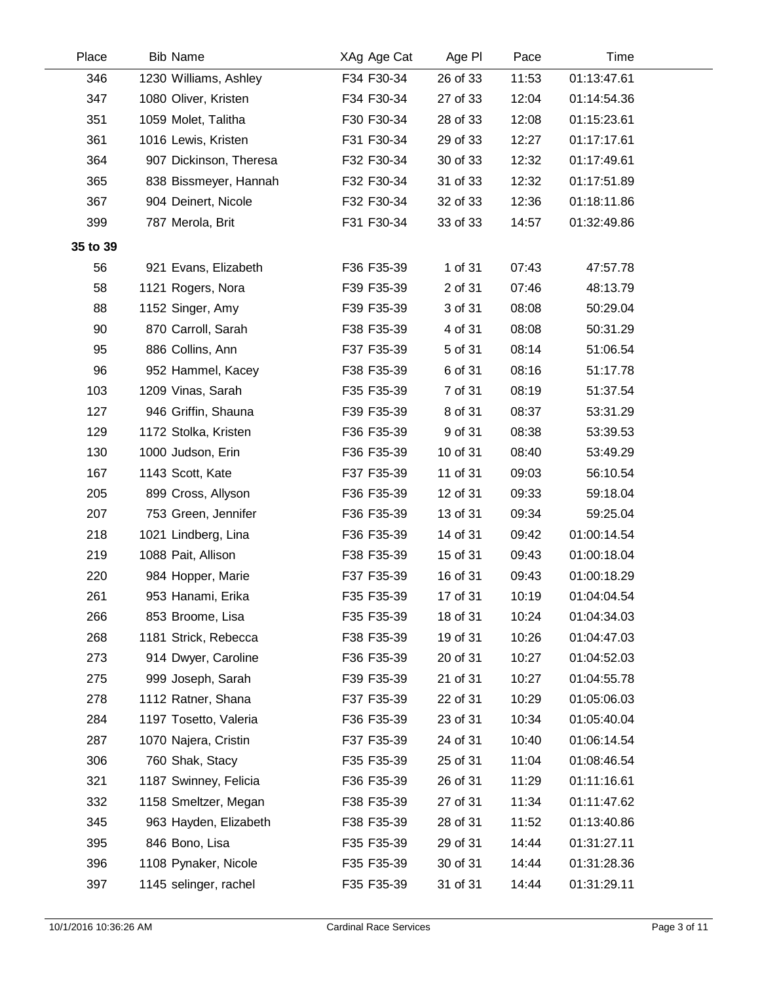| Place    | <b>Bib Name</b>        | XAg Age Cat | Age PI   | Pace  | Time        |  |
|----------|------------------------|-------------|----------|-------|-------------|--|
| 346      | 1230 Williams, Ashley  | F34 F30-34  | 26 of 33 | 11:53 | 01:13:47.61 |  |
| 347      | 1080 Oliver, Kristen   | F34 F30-34  | 27 of 33 | 12:04 | 01:14:54.36 |  |
| 351      | 1059 Molet, Talitha    | F30 F30-34  | 28 of 33 | 12:08 | 01:15:23.61 |  |
| 361      | 1016 Lewis, Kristen    | F31 F30-34  | 29 of 33 | 12:27 | 01:17:17.61 |  |
| 364      | 907 Dickinson, Theresa | F32 F30-34  | 30 of 33 | 12:32 | 01:17:49.61 |  |
| 365      | 838 Bissmeyer, Hannah  | F32 F30-34  | 31 of 33 | 12:32 | 01:17:51.89 |  |
| 367      | 904 Deinert, Nicole    | F32 F30-34  | 32 of 33 | 12:36 | 01:18:11.86 |  |
| 399      | 787 Merola, Brit       | F31 F30-34  | 33 of 33 | 14:57 | 01:32:49.86 |  |
| 35 to 39 |                        |             |          |       |             |  |
| 56       | 921 Evans, Elizabeth   | F36 F35-39  | 1 of 31  | 07:43 | 47:57.78    |  |
| 58       | 1121 Rogers, Nora      | F39 F35-39  | 2 of 31  | 07:46 | 48:13.79    |  |
| 88       | 1152 Singer, Amy       | F39 F35-39  | 3 of 31  | 08:08 | 50:29.04    |  |
| 90       | 870 Carroll, Sarah     | F38 F35-39  | 4 of 31  | 08:08 | 50:31.29    |  |
| 95       | 886 Collins, Ann       | F37 F35-39  | 5 of 31  | 08:14 | 51:06.54    |  |
| 96       | 952 Hammel, Kacey      | F38 F35-39  | 6 of 31  | 08:16 | 51:17.78    |  |
| 103      | 1209 Vinas, Sarah      | F35 F35-39  | 7 of 31  | 08:19 | 51:37.54    |  |
| 127      | 946 Griffin, Shauna    | F39 F35-39  | 8 of 31  | 08:37 | 53:31.29    |  |
| 129      | 1172 Stolka, Kristen   | F36 F35-39  | 9 of 31  | 08:38 | 53:39.53    |  |
| 130      | 1000 Judson, Erin      | F36 F35-39  | 10 of 31 | 08:40 | 53:49.29    |  |
| 167      | 1143 Scott, Kate       | F37 F35-39  | 11 of 31 | 09:03 | 56:10.54    |  |
| 205      | 899 Cross, Allyson     | F36 F35-39  | 12 of 31 | 09:33 | 59:18.04    |  |
| 207      | 753 Green, Jennifer    | F36 F35-39  | 13 of 31 | 09:34 | 59:25.04    |  |
| 218      | 1021 Lindberg, Lina    | F36 F35-39  | 14 of 31 | 09:42 | 01:00:14.54 |  |
| 219      | 1088 Pait, Allison     | F38 F35-39  | 15 of 31 | 09:43 | 01:00:18.04 |  |
| 220      | 984 Hopper, Marie      | F37 F35-39  | 16 of 31 | 09:43 | 01:00:18.29 |  |
| 261      | 953 Hanami, Erika      | F35 F35-39  | 17 of 31 | 10:19 | 01:04:04.54 |  |
| 266      | 853 Broome, Lisa       | F35 F35-39  | 18 of 31 | 10:24 | 01:04:34.03 |  |
| 268      | 1181 Strick, Rebecca   | F38 F35-39  | 19 of 31 | 10:26 | 01:04:47.03 |  |
| 273      | 914 Dwyer, Caroline    | F36 F35-39  | 20 of 31 | 10:27 | 01:04:52.03 |  |
| 275      | 999 Joseph, Sarah      | F39 F35-39  | 21 of 31 | 10:27 | 01:04:55.78 |  |
| 278      | 1112 Ratner, Shana     | F37 F35-39  | 22 of 31 | 10:29 | 01:05:06.03 |  |
| 284      | 1197 Tosetto, Valeria  | F36 F35-39  | 23 of 31 | 10:34 | 01:05:40.04 |  |
| 287      | 1070 Najera, Cristin   | F37 F35-39  | 24 of 31 | 10:40 | 01:06:14.54 |  |
| 306      | 760 Shak, Stacy        | F35 F35-39  | 25 of 31 | 11:04 | 01:08:46.54 |  |
| 321      | 1187 Swinney, Felicia  | F36 F35-39  | 26 of 31 | 11:29 | 01:11:16.61 |  |
| 332      | 1158 Smeltzer, Megan   | F38 F35-39  | 27 of 31 | 11:34 | 01:11:47.62 |  |
| 345      | 963 Hayden, Elizabeth  | F38 F35-39  | 28 of 31 | 11:52 | 01:13:40.86 |  |
| 395      | 846 Bono, Lisa         | F35 F35-39  | 29 of 31 | 14:44 | 01:31:27.11 |  |
| 396      | 1108 Pynaker, Nicole   | F35 F35-39  | 30 of 31 | 14:44 | 01:31:28.36 |  |
| 397      | 1145 selinger, rachel  | F35 F35-39  | 31 of 31 | 14:44 | 01:31:29.11 |  |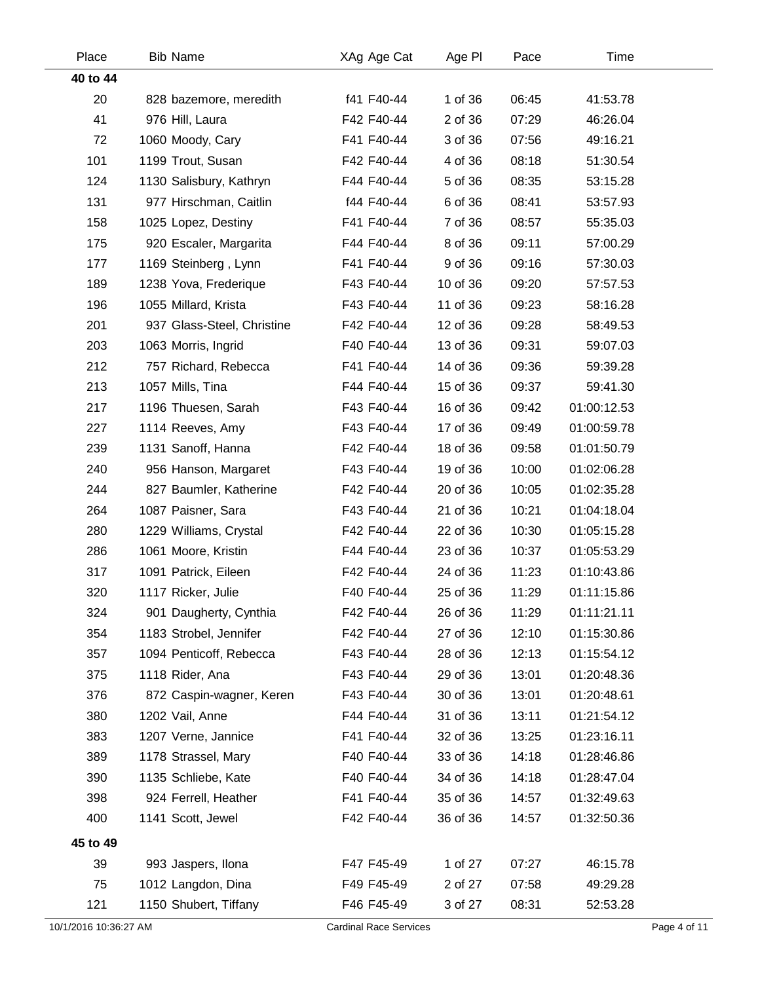| Place                 | <b>Bib Name</b>            | XAg Age Cat                   | Age PI   | Pace  | Time        |              |
|-----------------------|----------------------------|-------------------------------|----------|-------|-------------|--------------|
| 40 to 44              |                            |                               |          |       |             |              |
| 20                    | 828 bazemore, meredith     | f41 F40-44                    | 1 of 36  | 06:45 | 41:53.78    |              |
| 41                    | 976 Hill, Laura            | F42 F40-44                    | 2 of 36  | 07:29 | 46:26.04    |              |
| 72                    | 1060 Moody, Cary           | F41 F40-44                    | 3 of 36  | 07:56 | 49:16.21    |              |
| 101                   | 1199 Trout, Susan          | F42 F40-44                    | 4 of 36  | 08:18 | 51:30.54    |              |
| 124                   | 1130 Salisbury, Kathryn    | F44 F40-44                    | 5 of 36  | 08:35 | 53:15.28    |              |
| 131                   | 977 Hirschman, Caitlin     | f44 F40-44                    | 6 of 36  | 08:41 | 53:57.93    |              |
| 158                   | 1025 Lopez, Destiny        | F41 F40-44                    | 7 of 36  | 08:57 | 55:35.03    |              |
| 175                   | 920 Escaler, Margarita     | F44 F40-44                    | 8 of 36  | 09:11 | 57:00.29    |              |
| 177                   | 1169 Steinberg, Lynn       | F41 F40-44                    | 9 of 36  | 09:16 | 57:30.03    |              |
| 189                   | 1238 Yova, Frederique      | F43 F40-44                    | 10 of 36 | 09:20 | 57:57.53    |              |
| 196                   | 1055 Millard, Krista       | F43 F40-44                    | 11 of 36 | 09:23 | 58:16.28    |              |
| 201                   | 937 Glass-Steel, Christine | F42 F40-44                    | 12 of 36 | 09:28 | 58:49.53    |              |
| 203                   | 1063 Morris, Ingrid        | F40 F40-44                    | 13 of 36 | 09:31 | 59:07.03    |              |
| 212                   | 757 Richard, Rebecca       | F41 F40-44                    | 14 of 36 | 09:36 | 59:39.28    |              |
| 213                   | 1057 Mills, Tina           | F44 F40-44                    | 15 of 36 | 09:37 | 59:41.30    |              |
| 217                   | 1196 Thuesen, Sarah        | F43 F40-44                    | 16 of 36 | 09:42 | 01:00:12.53 |              |
| 227                   | 1114 Reeves, Amy           | F43 F40-44                    | 17 of 36 | 09:49 | 01:00:59.78 |              |
| 239                   | 1131 Sanoff, Hanna         | F42 F40-44                    | 18 of 36 | 09:58 | 01:01:50.79 |              |
| 240                   | 956 Hanson, Margaret       | F43 F40-44                    | 19 of 36 | 10:00 | 01:02:06.28 |              |
| 244                   | 827 Baumler, Katherine     | F42 F40-44                    | 20 of 36 | 10:05 | 01:02:35.28 |              |
| 264                   | 1087 Paisner, Sara         | F43 F40-44                    | 21 of 36 | 10:21 | 01:04:18.04 |              |
| 280                   | 1229 Williams, Crystal     | F42 F40-44                    | 22 of 36 | 10:30 | 01:05:15.28 |              |
| 286                   | 1061 Moore, Kristin        | F44 F40-44                    | 23 of 36 | 10:37 | 01:05:53.29 |              |
| 317                   | 1091 Patrick, Eileen       | F42 F40-44                    | 24 of 36 | 11:23 | 01:10:43.86 |              |
| 320                   | 1117 Ricker, Julie         | F40 F40-44                    | 25 of 36 | 11:29 | 01:11:15.86 |              |
| 324                   | 901 Daugherty, Cynthia     | F42 F40-44                    | 26 of 36 | 11:29 | 01:11:21.11 |              |
| 354                   | 1183 Strobel, Jennifer     | F42 F40-44                    | 27 of 36 | 12:10 | 01:15:30.86 |              |
| 357                   | 1094 Penticoff, Rebecca    | F43 F40-44                    | 28 of 36 | 12:13 | 01:15:54.12 |              |
| 375                   | 1118 Rider, Ana            | F43 F40-44                    | 29 of 36 | 13:01 | 01:20:48.36 |              |
| 376                   | 872 Caspin-wagner, Keren   | F43 F40-44                    | 30 of 36 | 13:01 | 01:20:48.61 |              |
| 380                   | 1202 Vail, Anne            | F44 F40-44                    | 31 of 36 | 13:11 | 01:21:54.12 |              |
| 383                   | 1207 Verne, Jannice        | F41 F40-44                    | 32 of 36 | 13:25 | 01:23:16.11 |              |
| 389                   | 1178 Strassel, Mary        | F40 F40-44                    | 33 of 36 | 14:18 | 01:28:46.86 |              |
| 390                   | 1135 Schliebe, Kate        | F40 F40-44                    | 34 of 36 | 14:18 | 01:28:47.04 |              |
| 398                   | 924 Ferrell, Heather       | F41 F40-44                    | 35 of 36 | 14:57 | 01:32:49.63 |              |
| 400                   | 1141 Scott, Jewel          | F42 F40-44                    | 36 of 36 | 14:57 | 01:32:50.36 |              |
| 45 to 49              |                            |                               |          |       |             |              |
| 39                    | 993 Jaspers, Ilona         | F47 F45-49                    | 1 of 27  | 07:27 | 46:15.78    |              |
| 75                    | 1012 Langdon, Dina         | F49 F45-49                    | 2 of 27  | 07:58 | 49:29.28    |              |
| 121                   | 1150 Shubert, Tiffany      | F46 F45-49                    | 3 of 27  | 08:31 | 52:53.28    |              |
| 10/1/2016 10:36:27 AM |                            | <b>Cardinal Race Services</b> |          |       |             | Page 4 of 11 |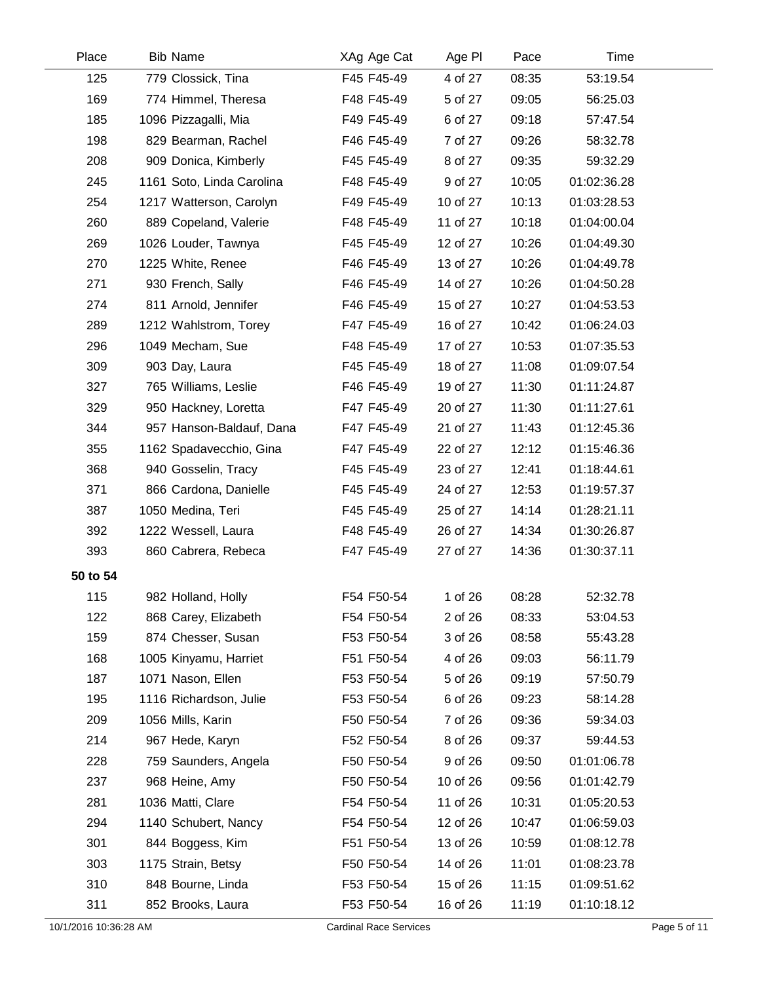| Place                 | <b>Bib Name</b>           | XAg Age Cat                   | Age PI   | Pace  | Time        |              |
|-----------------------|---------------------------|-------------------------------|----------|-------|-------------|--------------|
| 125                   | 779 Clossick, Tina        | F45 F45-49                    | 4 of 27  | 08:35 | 53:19.54    |              |
| 169                   | 774 Himmel, Theresa       | F48 F45-49                    | 5 of 27  | 09:05 | 56:25.03    |              |
| 185                   | 1096 Pizzagalli, Mia      | F49 F45-49                    | 6 of 27  | 09:18 | 57:47.54    |              |
| 198                   | 829 Bearman, Rachel       | F46 F45-49                    | 7 of 27  | 09:26 | 58:32.78    |              |
| 208                   | 909 Donica, Kimberly      | F45 F45-49                    | 8 of 27  | 09:35 | 59:32.29    |              |
| 245                   | 1161 Soto, Linda Carolina | F48 F45-49                    | 9 of 27  | 10:05 | 01:02:36.28 |              |
| 254                   | 1217 Watterson, Carolyn   | F49 F45-49                    | 10 of 27 | 10:13 | 01:03:28.53 |              |
| 260                   | 889 Copeland, Valerie     | F48 F45-49                    | 11 of 27 | 10:18 | 01:04:00.04 |              |
| 269                   | 1026 Louder, Tawnya       | F45 F45-49                    | 12 of 27 | 10:26 | 01:04:49.30 |              |
| 270                   | 1225 White, Renee         | F46 F45-49                    | 13 of 27 | 10:26 | 01:04:49.78 |              |
| 271                   | 930 French, Sally         | F46 F45-49                    | 14 of 27 | 10:26 | 01:04:50.28 |              |
| 274                   | 811 Arnold, Jennifer      | F46 F45-49                    | 15 of 27 | 10:27 | 01:04:53.53 |              |
| 289                   | 1212 Wahlstrom, Torey     | F47 F45-49                    | 16 of 27 | 10:42 | 01:06:24.03 |              |
| 296                   | 1049 Mecham, Sue          | F48 F45-49                    | 17 of 27 | 10:53 | 01:07:35.53 |              |
| 309                   | 903 Day, Laura            | F45 F45-49                    | 18 of 27 | 11:08 | 01:09:07.54 |              |
| 327                   | 765 Williams, Leslie      | F46 F45-49                    | 19 of 27 | 11:30 | 01:11:24.87 |              |
| 329                   | 950 Hackney, Loretta      | F47 F45-49                    | 20 of 27 | 11:30 | 01:11:27.61 |              |
| 344                   | 957 Hanson-Baldauf, Dana  | F47 F45-49                    | 21 of 27 | 11:43 | 01:12:45.36 |              |
| 355                   | 1162 Spadavecchio, Gina   | F47 F45-49                    | 22 of 27 | 12:12 | 01:15:46.36 |              |
| 368                   | 940 Gosselin, Tracy       | F45 F45-49                    | 23 of 27 | 12:41 | 01:18:44.61 |              |
| 371                   | 866 Cardona, Danielle     | F45 F45-49                    | 24 of 27 | 12:53 | 01:19:57.37 |              |
| 387                   | 1050 Medina, Teri         | F45 F45-49                    | 25 of 27 | 14:14 | 01:28:21.11 |              |
| 392                   | 1222 Wessell, Laura       | F48 F45-49                    | 26 of 27 | 14:34 | 01:30:26.87 |              |
| 393                   | 860 Cabrera, Rebeca       | F47 F45-49                    | 27 of 27 | 14:36 | 01:30:37.11 |              |
| 50 to 54              |                           |                               |          |       |             |              |
| 115                   | 982 Holland, Holly        | F54 F50-54                    | 1 of 26  | 08:28 | 52:32.78    |              |
| 122                   | 868 Carey, Elizabeth      | F54 F50-54                    | 2 of 26  | 08:33 | 53:04.53    |              |
| 159                   | 874 Chesser, Susan        | F53 F50-54                    | 3 of 26  | 08:58 | 55:43.28    |              |
| 168                   | 1005 Kinyamu, Harriet     | F51 F50-54                    | 4 of 26  | 09:03 | 56:11.79    |              |
| 187                   | 1071 Nason, Ellen         | F53 F50-54                    | 5 of 26  | 09:19 | 57:50.79    |              |
| 195                   | 1116 Richardson, Julie    | F53 F50-54                    | 6 of 26  | 09:23 | 58:14.28    |              |
| 209                   | 1056 Mills, Karin         | F50 F50-54                    | 7 of 26  | 09:36 | 59:34.03    |              |
| 214                   | 967 Hede, Karyn           | F52 F50-54                    | 8 of 26  | 09:37 | 59:44.53    |              |
| 228                   | 759 Saunders, Angela      | F50 F50-54                    | 9 of 26  | 09:50 | 01:01:06.78 |              |
| 237                   | 968 Heine, Amy            | F50 F50-54                    | 10 of 26 | 09:56 | 01:01:42.79 |              |
| 281                   | 1036 Matti, Clare         | F54 F50-54                    | 11 of 26 | 10:31 | 01:05:20.53 |              |
| 294                   | 1140 Schubert, Nancy      | F54 F50-54                    | 12 of 26 | 10:47 | 01:06:59.03 |              |
| 301                   | 844 Boggess, Kim          | F51 F50-54                    | 13 of 26 | 10:59 | 01:08:12.78 |              |
| 303                   | 1175 Strain, Betsy        | F50 F50-54                    | 14 of 26 | 11:01 | 01:08:23.78 |              |
| 310                   | 848 Bourne, Linda         | F53 F50-54                    | 15 of 26 | 11:15 | 01:09:51.62 |              |
| 311                   | 852 Brooks, Laura         | F53 F50-54                    | 16 of 26 | 11:19 | 01:10:18.12 |              |
| 10/1/2016 10:36:28 AM |                           | <b>Cardinal Race Services</b> |          |       |             | Page 5 of 11 |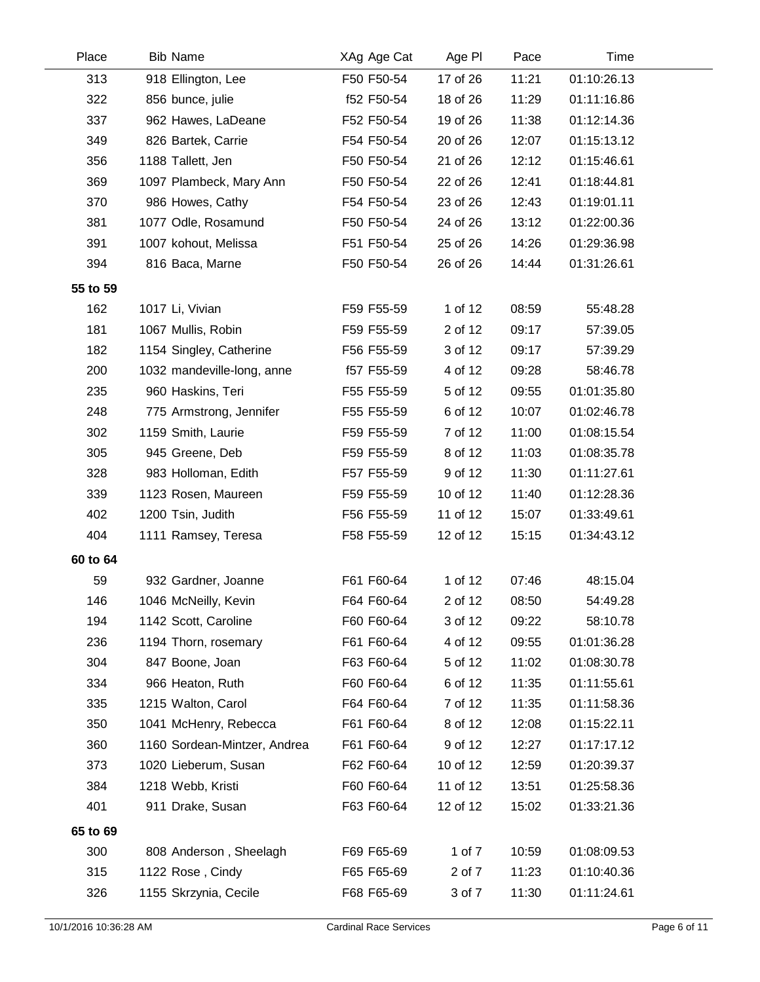| Place    | <b>Bib Name</b>              | XAg Age Cat | Age PI   | Pace  | Time        |  |
|----------|------------------------------|-------------|----------|-------|-------------|--|
| 313      | 918 Ellington, Lee           | F50 F50-54  | 17 of 26 | 11:21 | 01:10:26.13 |  |
| 322      | 856 bunce, julie             | f52 F50-54  | 18 of 26 | 11:29 | 01:11:16.86 |  |
| 337      | 962 Hawes, LaDeane           | F52 F50-54  | 19 of 26 | 11:38 | 01:12:14.36 |  |
| 349      | 826 Bartek, Carrie           | F54 F50-54  | 20 of 26 | 12:07 | 01:15:13.12 |  |
| 356      | 1188 Tallett, Jen            | F50 F50-54  | 21 of 26 | 12:12 | 01:15:46.61 |  |
| 369      | 1097 Plambeck, Mary Ann      | F50 F50-54  | 22 of 26 | 12:41 | 01:18:44.81 |  |
| 370      | 986 Howes, Cathy             | F54 F50-54  | 23 of 26 | 12:43 | 01:19:01.11 |  |
| 381      | 1077 Odle, Rosamund          | F50 F50-54  | 24 of 26 | 13:12 | 01:22:00.36 |  |
| 391      | 1007 kohout, Melissa         | F51 F50-54  | 25 of 26 | 14:26 | 01:29:36.98 |  |
| 394      | 816 Baca, Marne              | F50 F50-54  | 26 of 26 | 14:44 | 01:31:26.61 |  |
| 55 to 59 |                              |             |          |       |             |  |
| 162      | 1017 Li, Vivian              | F59 F55-59  | 1 of 12  | 08:59 | 55:48.28    |  |
| 181      | 1067 Mullis, Robin           | F59 F55-59  | 2 of 12  | 09:17 | 57:39.05    |  |
| 182      | 1154 Singley, Catherine      | F56 F55-59  | 3 of 12  | 09:17 | 57:39.29    |  |
| 200      | 1032 mandeville-long, anne   | f57 F55-59  | 4 of 12  | 09:28 | 58:46.78    |  |
| 235      | 960 Haskins, Teri            | F55 F55-59  | 5 of 12  | 09:55 | 01:01:35.80 |  |
| 248      | 775 Armstrong, Jennifer      | F55 F55-59  | 6 of 12  | 10:07 | 01:02:46.78 |  |
| 302      | 1159 Smith, Laurie           | F59 F55-59  | 7 of 12  | 11:00 | 01:08:15.54 |  |
| 305      | 945 Greene, Deb              | F59 F55-59  | 8 of 12  | 11:03 | 01:08:35.78 |  |
| 328      | 983 Holloman, Edith          | F57 F55-59  | 9 of 12  | 11:30 | 01:11:27.61 |  |
| 339      | 1123 Rosen, Maureen          | F59 F55-59  | 10 of 12 | 11:40 | 01:12:28.36 |  |
| 402      | 1200 Tsin, Judith            | F56 F55-59  | 11 of 12 | 15:07 | 01:33:49.61 |  |
| 404      | 1111 Ramsey, Teresa          | F58 F55-59  | 12 of 12 | 15:15 | 01:34:43.12 |  |
| 60 to 64 |                              |             |          |       |             |  |
| 59       | 932 Gardner, Joanne          | F61 F60-64  | 1 of 12  | 07:46 | 48:15.04    |  |
| 146      | 1046 McNeilly, Kevin         | F64 F60-64  | 2 of 12  | 08:50 | 54:49.28    |  |
| 194      | 1142 Scott, Caroline         | F60 F60-64  | 3 of 12  | 09:22 | 58:10.78    |  |
| 236      | 1194 Thorn, rosemary         | F61 F60-64  | 4 of 12  | 09:55 | 01:01:36.28 |  |
| 304      | 847 Boone, Joan              | F63 F60-64  | 5 of 12  | 11:02 | 01:08:30.78 |  |
| 334      | 966 Heaton, Ruth             | F60 F60-64  | 6 of 12  | 11:35 | 01:11:55.61 |  |
| 335      | 1215 Walton, Carol           | F64 F60-64  | 7 of 12  | 11:35 | 01:11:58.36 |  |
| 350      | 1041 McHenry, Rebecca        | F61 F60-64  | 8 of 12  | 12:08 | 01:15:22.11 |  |
| 360      | 1160 Sordean-Mintzer, Andrea | F61 F60-64  | 9 of 12  | 12:27 | 01:17:17.12 |  |
| 373      | 1020 Lieberum, Susan         | F62 F60-64  | 10 of 12 | 12:59 | 01:20:39.37 |  |
| 384      | 1218 Webb, Kristi            | F60 F60-64  | 11 of 12 | 13:51 | 01:25:58.36 |  |
| 401      | 911 Drake, Susan             | F63 F60-64  | 12 of 12 | 15:02 | 01:33:21.36 |  |
| 65 to 69 |                              |             |          |       |             |  |
| 300      | 808 Anderson, Sheelagh       | F69 F65-69  | 1 of 7   | 10:59 | 01:08:09.53 |  |
| 315      | 1122 Rose, Cindy             | F65 F65-69  | 2 of 7   | 11:23 | 01:10:40.36 |  |
| 326      | 1155 Skrzynia, Cecile        | F68 F65-69  | 3 of 7   | 11:30 | 01:11:24.61 |  |
|          |                              |             |          |       |             |  |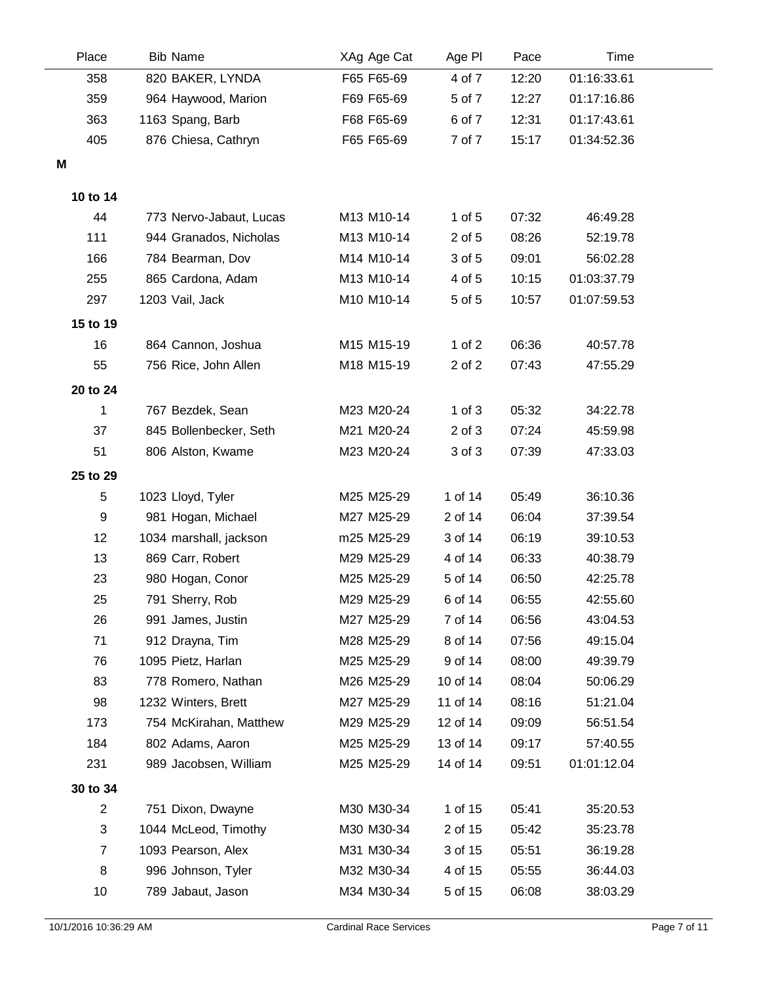| Place          | <b>Bib Name</b>         | XAg Age Cat | Age PI     | Pace  | Time        |  |
|----------------|-------------------------|-------------|------------|-------|-------------|--|
| 358            | 820 BAKER, LYNDA        | F65 F65-69  | 4 of 7     | 12:20 | 01:16:33.61 |  |
| 359            | 964 Haywood, Marion     | F69 F65-69  | 5 of 7     | 12:27 | 01:17:16.86 |  |
| 363            | 1163 Spang, Barb        | F68 F65-69  | 6 of 7     | 12:31 | 01:17:43.61 |  |
| 405            | 876 Chiesa, Cathryn     | F65 F65-69  | 7 of 7     | 15:17 | 01:34:52.36 |  |
| M              |                         |             |            |       |             |  |
|                |                         |             |            |       |             |  |
| 10 to 14       |                         |             |            |       |             |  |
| 44             | 773 Nervo-Jabaut, Lucas | M13 M10-14  | $1$ of $5$ | 07:32 | 46:49.28    |  |
| 111            | 944 Granados, Nicholas  | M13 M10-14  | 2 of 5     | 08:26 | 52:19.78    |  |
| 166            | 784 Bearman, Dov        | M14 M10-14  | 3 of 5     | 09:01 | 56:02.28    |  |
| 255            | 865 Cardona, Adam       | M13 M10-14  | 4 of 5     | 10:15 | 01:03:37.79 |  |
| 297            | 1203 Vail, Jack         | M10 M10-14  | 5 of 5     | 10:57 | 01:07:59.53 |  |
| 15 to 19       |                         |             |            |       |             |  |
| 16             | 864 Cannon, Joshua      | M15 M15-19  | 1 of $2$   | 06:36 | 40:57.78    |  |
| 55             | 756 Rice, John Allen    | M18 M15-19  | 2 of 2     | 07:43 | 47:55.29    |  |
| 20 to 24       |                         |             |            |       |             |  |
| 1              | 767 Bezdek, Sean        | M23 M20-24  | $1$ of $3$ | 05:32 | 34:22.78    |  |
| 37             | 845 Bollenbecker, Seth  | M21 M20-24  | $2$ of $3$ | 07:24 | 45:59.98    |  |
| 51             | 806 Alston, Kwame       | M23 M20-24  | 3 of 3     | 07:39 | 47:33.03    |  |
| 25 to 29       |                         |             |            |       |             |  |
| 5              | 1023 Lloyd, Tyler       | M25 M25-29  | 1 of 14    | 05:49 | 36:10.36    |  |
| 9              | 981 Hogan, Michael      | M27 M25-29  | 2 of 14    | 06:04 | 37:39.54    |  |
| 12             | 1034 marshall, jackson  | m25 M25-29  | 3 of 14    | 06:19 | 39:10.53    |  |
| 13             | 869 Carr, Robert        | M29 M25-29  | 4 of 14    | 06:33 | 40:38.79    |  |
| 23             | 980 Hogan, Conor        | M25 M25-29  | 5 of 14    | 06:50 | 42:25.78    |  |
| 25             | 791 Sherry, Rob         | M29 M25-29  | 6 of 14    | 06:55 | 42:55.60    |  |
| 26             | 991 James, Justin       | M27 M25-29  | 7 of 14    | 06:56 | 43:04.53    |  |
| 71             | 912 Drayna, Tim         | M28 M25-29  | 8 of 14    | 07:56 | 49:15.04    |  |
| 76             | 1095 Pietz, Harlan      | M25 M25-29  | 9 of 14    | 08:00 | 49:39.79    |  |
| 83             | 778 Romero, Nathan      | M26 M25-29  | 10 of 14   | 08:04 | 50:06.29    |  |
| 98             | 1232 Winters, Brett     | M27 M25-29  | 11 of 14   | 08:16 | 51:21.04    |  |
| 173            | 754 McKirahan, Matthew  | M29 M25-29  | 12 of 14   | 09:09 | 56:51.54    |  |
| 184            | 802 Adams, Aaron        | M25 M25-29  | 13 of 14   | 09:17 | 57:40.55    |  |
| 231            | 989 Jacobsen, William   | M25 M25-29  | 14 of 14   | 09:51 | 01:01:12.04 |  |
| 30 to 34       |                         |             |            |       |             |  |
| $\overline{c}$ | 751 Dixon, Dwayne       | M30 M30-34  | 1 of 15    | 05:41 | 35:20.53    |  |
| 3              | 1044 McLeod, Timothy    | M30 M30-34  | 2 of 15    | 05:42 | 35:23.78    |  |
| $\overline{7}$ | 1093 Pearson, Alex      | M31 M30-34  | 3 of 15    | 05:51 | 36:19.28    |  |
| 8              | 996 Johnson, Tyler      | M32 M30-34  | 4 of 15    | 05:55 | 36:44.03    |  |
| 10             | 789 Jabaut, Jason       | M34 M30-34  | 5 of 15    | 06:08 | 38:03.29    |  |
|                |                         |             |            |       |             |  |

 $\overline{\phantom{0}}$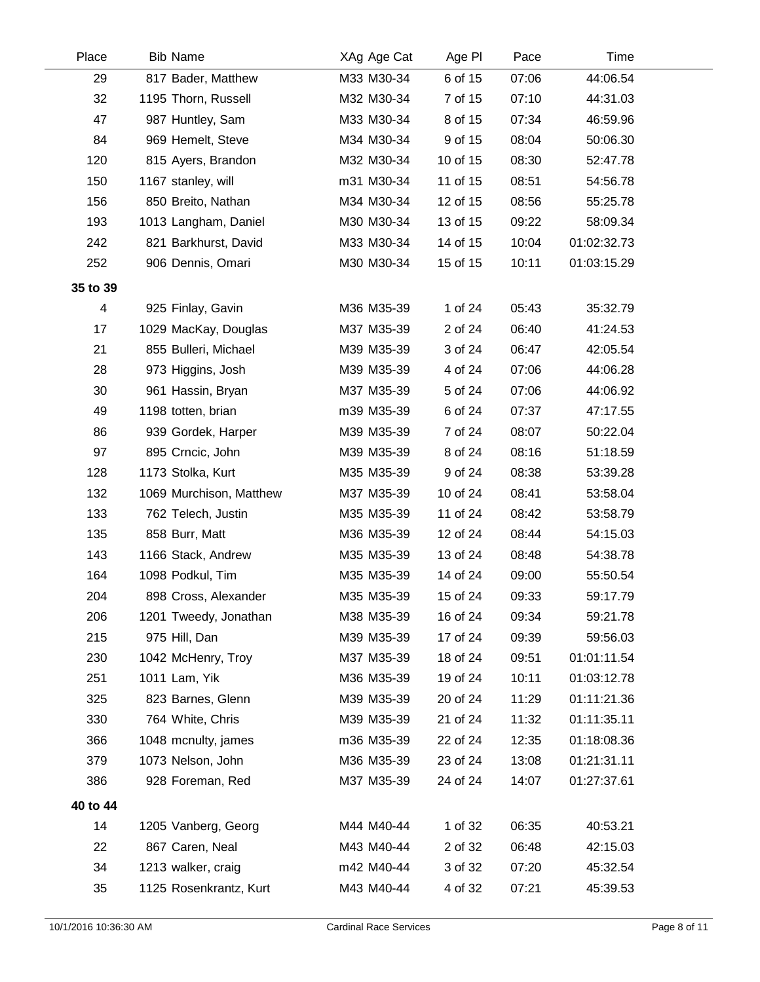| Place          | <b>Bib Name</b>         | XAg Age Cat | Age PI   | Pace  | Time        |  |
|----------------|-------------------------|-------------|----------|-------|-------------|--|
| 29             | 817 Bader, Matthew      | M33 M30-34  | 6 of 15  | 07:06 | 44:06.54    |  |
| 32             | 1195 Thorn, Russell     | M32 M30-34  | 7 of 15  | 07:10 | 44:31.03    |  |
| 47             | 987 Huntley, Sam        | M33 M30-34  | 8 of 15  | 07:34 | 46:59.96    |  |
| 84             | 969 Hemelt, Steve       | M34 M30-34  | 9 of 15  | 08:04 | 50:06.30    |  |
| 120            | 815 Ayers, Brandon      | M32 M30-34  | 10 of 15 | 08:30 | 52:47.78    |  |
| 150            | 1167 stanley, will      | m31 M30-34  | 11 of 15 | 08:51 | 54:56.78    |  |
| 156            | 850 Breito, Nathan      | M34 M30-34  | 12 of 15 | 08:56 | 55:25.78    |  |
| 193            | 1013 Langham, Daniel    | M30 M30-34  | 13 of 15 | 09:22 | 58:09.34    |  |
| 242            | 821 Barkhurst, David    | M33 M30-34  | 14 of 15 | 10:04 | 01:02:32.73 |  |
| 252            | 906 Dennis, Omari       | M30 M30-34  | 15 of 15 | 10:11 | 01:03:15.29 |  |
| 35 to 39       |                         |             |          |       |             |  |
| $\overline{4}$ | 925 Finlay, Gavin       | M36 M35-39  | 1 of 24  | 05:43 | 35:32.79    |  |
| 17             | 1029 MacKay, Douglas    | M37 M35-39  | 2 of 24  | 06:40 | 41:24.53    |  |
| 21             | 855 Bulleri, Michael    | M39 M35-39  | 3 of 24  | 06:47 | 42:05.54    |  |
| 28             | 973 Higgins, Josh       | M39 M35-39  | 4 of 24  | 07:06 | 44:06.28    |  |
| 30             | 961 Hassin, Bryan       | M37 M35-39  | 5 of 24  | 07:06 | 44:06.92    |  |
| 49             | 1198 totten, brian      | m39 M35-39  | 6 of 24  | 07:37 | 47:17.55    |  |
| 86             | 939 Gordek, Harper      | M39 M35-39  | 7 of 24  | 08:07 | 50:22.04    |  |
| 97             | 895 Crncic, John        | M39 M35-39  | 8 of 24  | 08:16 | 51:18.59    |  |
| 128            | 1173 Stolka, Kurt       | M35 M35-39  | 9 of 24  | 08:38 | 53:39.28    |  |
| 132            | 1069 Murchison, Matthew | M37 M35-39  | 10 of 24 | 08:41 | 53:58.04    |  |
| 133            | 762 Telech, Justin      | M35 M35-39  | 11 of 24 | 08:42 | 53:58.79    |  |
| 135            | 858 Burr, Matt          | M36 M35-39  | 12 of 24 | 08:44 | 54:15.03    |  |
| 143            | 1166 Stack, Andrew      | M35 M35-39  | 13 of 24 | 08:48 | 54:38.78    |  |
| 164            | 1098 Podkul, Tim        | M35 M35-39  | 14 of 24 | 09:00 | 55:50.54    |  |
| 204            | 898 Cross, Alexander    | M35 M35-39  | 15 of 24 | 09:33 | 59:17.79    |  |
| 206            | 1201 Tweedy, Jonathan   | M38 M35-39  | 16 of 24 | 09:34 | 59:21.78    |  |
| 215            | 975 Hill, Dan           | M39 M35-39  | 17 of 24 | 09:39 | 59:56.03    |  |
| 230            | 1042 McHenry, Troy      | M37 M35-39  | 18 of 24 | 09:51 | 01:01:11.54 |  |
| 251            | 1011 Lam, Yik           | M36 M35-39  | 19 of 24 | 10:11 | 01:03:12.78 |  |
| 325            | 823 Barnes, Glenn       | M39 M35-39  | 20 of 24 | 11:29 | 01:11:21.36 |  |
| 330            | 764 White, Chris        | M39 M35-39  | 21 of 24 | 11:32 | 01:11:35.11 |  |
| 366            | 1048 mcnulty, james     | m36 M35-39  | 22 of 24 | 12:35 | 01:18:08.36 |  |
| 379            | 1073 Nelson, John       | M36 M35-39  | 23 of 24 | 13:08 | 01:21:31.11 |  |
| 386            | 928 Foreman, Red        | M37 M35-39  | 24 of 24 | 14:07 | 01:27:37.61 |  |
| 40 to 44       |                         |             |          |       |             |  |
| 14             | 1205 Vanberg, Georg     | M44 M40-44  | 1 of 32  | 06:35 | 40:53.21    |  |
| 22             | 867 Caren, Neal         | M43 M40-44  | 2 of 32  | 06:48 | 42:15.03    |  |
| 34             | 1213 walker, craig      | m42 M40-44  | 3 of 32  | 07:20 | 45:32.54    |  |
| 35             | 1125 Rosenkrantz, Kurt  | M43 M40-44  | 4 of 32  | 07:21 | 45:39.53    |  |
|                |                         |             |          |       |             |  |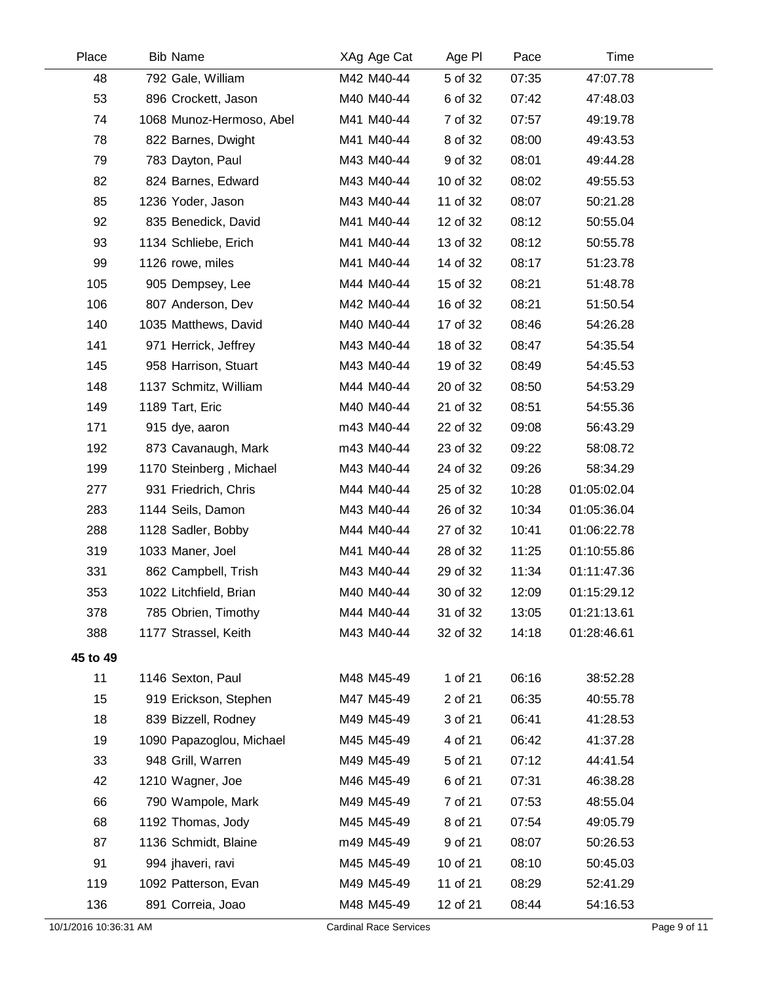| Place    | <b>Bib Name</b>          | XAg Age Cat | Age PI   | Pace  | Time        |  |
|----------|--------------------------|-------------|----------|-------|-------------|--|
| 48       | 792 Gale, William        | M42 M40-44  | 5 of 32  | 07:35 | 47:07.78    |  |
| 53       | 896 Crockett, Jason      | M40 M40-44  | 6 of 32  | 07:42 | 47:48.03    |  |
| 74       | 1068 Munoz-Hermoso, Abel | M41 M40-44  | 7 of 32  | 07:57 | 49:19.78    |  |
| 78       | 822 Barnes, Dwight       | M41 M40-44  | 8 of 32  | 08:00 | 49:43.53    |  |
| 79       | 783 Dayton, Paul         | M43 M40-44  | 9 of 32  | 08:01 | 49:44.28    |  |
| 82       | 824 Barnes, Edward       | M43 M40-44  | 10 of 32 | 08:02 | 49:55.53    |  |
| 85       | 1236 Yoder, Jason        | M43 M40-44  | 11 of 32 | 08:07 | 50:21.28    |  |
| 92       | 835 Benedick, David      | M41 M40-44  | 12 of 32 | 08:12 | 50:55.04    |  |
| 93       | 1134 Schliebe, Erich     | M41 M40-44  | 13 of 32 | 08:12 | 50:55.78    |  |
| 99       | 1126 rowe, miles         | M41 M40-44  | 14 of 32 | 08:17 | 51:23.78    |  |
| 105      | 905 Dempsey, Lee         | M44 M40-44  | 15 of 32 | 08:21 | 51:48.78    |  |
| 106      | 807 Anderson, Dev        | M42 M40-44  | 16 of 32 | 08:21 | 51:50.54    |  |
| 140      | 1035 Matthews, David     | M40 M40-44  | 17 of 32 | 08:46 | 54:26.28    |  |
| 141      | 971 Herrick, Jeffrey     | M43 M40-44  | 18 of 32 | 08:47 | 54:35.54    |  |
| 145      | 958 Harrison, Stuart     | M43 M40-44  | 19 of 32 | 08:49 | 54:45.53    |  |
| 148      | 1137 Schmitz, William    | M44 M40-44  | 20 of 32 | 08:50 | 54:53.29    |  |
| 149      | 1189 Tart, Eric          | M40 M40-44  | 21 of 32 | 08:51 | 54:55.36    |  |
| 171      | 915 dye, aaron           | m43 M40-44  | 22 of 32 | 09:08 | 56:43.29    |  |
| 192      | 873 Cavanaugh, Mark      | m43 M40-44  | 23 of 32 | 09:22 | 58:08.72    |  |
| 199      | 1170 Steinberg, Michael  | M43 M40-44  | 24 of 32 | 09:26 | 58:34.29    |  |
| 277      | 931 Friedrich, Chris     | M44 M40-44  | 25 of 32 | 10:28 | 01:05:02.04 |  |
| 283      | 1144 Seils, Damon        | M43 M40-44  | 26 of 32 | 10:34 | 01:05:36.04 |  |
| 288      | 1128 Sadler, Bobby       | M44 M40-44  | 27 of 32 | 10:41 | 01:06:22.78 |  |
| 319      | 1033 Maner, Joel         | M41 M40-44  | 28 of 32 | 11:25 | 01:10:55.86 |  |
| 331      | 862 Campbell, Trish      | M43 M40-44  | 29 of 32 | 11:34 | 01:11:47.36 |  |
| 353      | 1022 Litchfield, Brian   | M40 M40-44  | 30 of 32 | 12:09 | 01:15:29.12 |  |
| 378      | 785 Obrien, Timothy      | M44 M40-44  | 31 of 32 | 13:05 | 01:21:13.61 |  |
| 388      | 1177 Strassel, Keith     | M43 M40-44  | 32 of 32 | 14:18 | 01:28:46.61 |  |
| 45 to 49 |                          |             |          |       |             |  |
| 11       | 1146 Sexton, Paul        | M48 M45-49  | 1 of 21  | 06:16 | 38:52.28    |  |
| 15       | 919 Erickson, Stephen    | M47 M45-49  | 2 of 21  | 06:35 | 40:55.78    |  |
| 18       | 839 Bizzell, Rodney      | M49 M45-49  | 3 of 21  | 06:41 | 41:28.53    |  |
| 19       | 1090 Papazoglou, Michael | M45 M45-49  | 4 of 21  | 06:42 | 41:37.28    |  |
| 33       | 948 Grill, Warren        | M49 M45-49  | 5 of 21  | 07:12 | 44:41.54    |  |
| 42       | 1210 Wagner, Joe         | M46 M45-49  | 6 of 21  | 07:31 | 46:38.28    |  |
| 66       | 790 Wampole, Mark        | M49 M45-49  | 7 of 21  | 07:53 | 48:55.04    |  |
| 68       | 1192 Thomas, Jody        | M45 M45-49  | 8 of 21  | 07:54 | 49:05.79    |  |
| 87       | 1136 Schmidt, Blaine     | m49 M45-49  | 9 of 21  | 08:07 | 50:26.53    |  |
| 91       | 994 jhaveri, ravi        | M45 M45-49  | 10 of 21 | 08:10 | 50:45.03    |  |
| 119      | 1092 Patterson, Evan     | M49 M45-49  | 11 of 21 | 08:29 | 52:41.29    |  |
| 136      | 891 Correia, Joao        | M48 M45-49  | 12 of 21 | 08:44 | 54:16.53    |  |
|          |                          |             |          |       |             |  |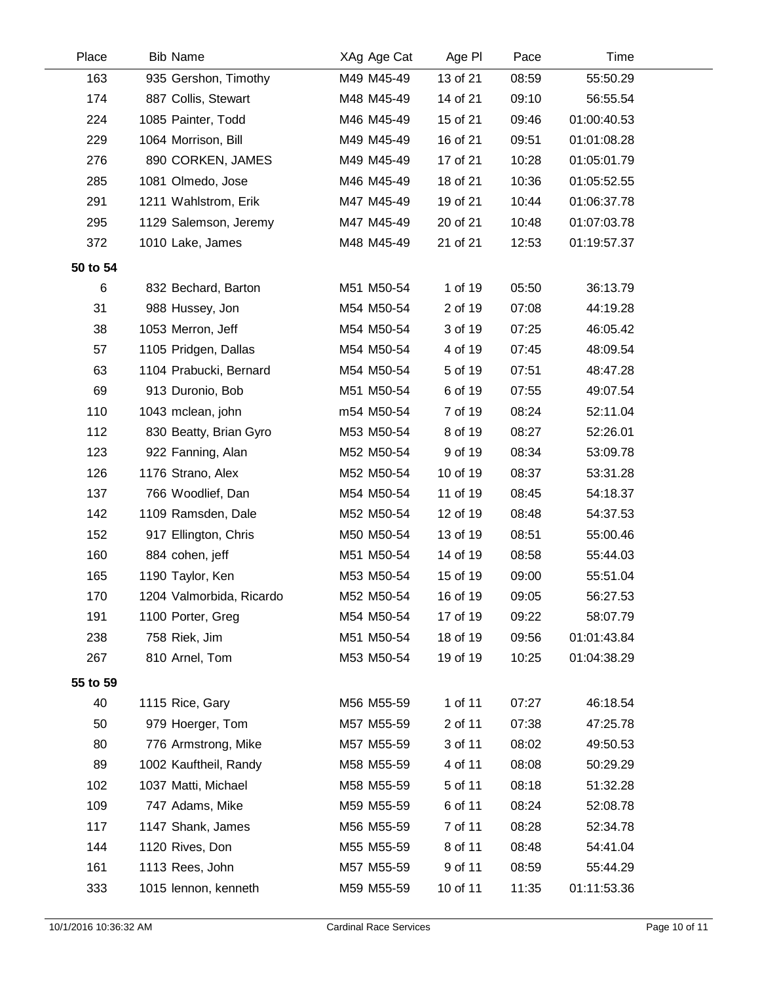| <b>Bib Name</b>          | XAg Age Cat | Age PI   | Pace  | Time        |  |
|--------------------------|-------------|----------|-------|-------------|--|
| 935 Gershon, Timothy     | M49 M45-49  | 13 of 21 | 08:59 | 55:50.29    |  |
| 887 Collis, Stewart      | M48 M45-49  | 14 of 21 | 09:10 | 56:55.54    |  |
| 1085 Painter, Todd       | M46 M45-49  | 15 of 21 | 09:46 | 01:00:40.53 |  |
| 1064 Morrison, Bill      | M49 M45-49  | 16 of 21 | 09:51 | 01:01:08.28 |  |
| 890 CORKEN, JAMES        | M49 M45-49  | 17 of 21 | 10:28 | 01:05:01.79 |  |
| 1081 Olmedo, Jose        | M46 M45-49  | 18 of 21 | 10:36 | 01:05:52.55 |  |
| 1211 Wahlstrom, Erik     | M47 M45-49  | 19 of 21 | 10:44 | 01:06:37.78 |  |
| 1129 Salemson, Jeremy    | M47 M45-49  | 20 of 21 | 10:48 | 01:07:03.78 |  |
| 1010 Lake, James         | M48 M45-49  | 21 of 21 | 12:53 | 01:19:57.37 |  |
|                          |             |          |       |             |  |
| 832 Bechard, Barton      | M51 M50-54  | 1 of 19  | 05:50 | 36:13.79    |  |
| 988 Hussey, Jon          | M54 M50-54  | 2 of 19  | 07:08 | 44:19.28    |  |
| 1053 Merron, Jeff        | M54 M50-54  | 3 of 19  | 07:25 | 46:05.42    |  |
| 1105 Pridgen, Dallas     | M54 M50-54  | 4 of 19  | 07:45 | 48:09.54    |  |
| 1104 Prabucki, Bernard   | M54 M50-54  | 5 of 19  | 07:51 | 48:47.28    |  |
| 913 Duronio, Bob         | M51 M50-54  | 6 of 19  | 07:55 | 49:07.54    |  |
| 1043 mclean, john        | m54 M50-54  | 7 of 19  | 08:24 | 52:11.04    |  |
| 830 Beatty, Brian Gyro   | M53 M50-54  | 8 of 19  | 08:27 | 52:26.01    |  |
| 922 Fanning, Alan        | M52 M50-54  | 9 of 19  | 08:34 | 53:09.78    |  |
| 1176 Strano, Alex        | M52 M50-54  | 10 of 19 | 08:37 | 53:31.28    |  |
| 766 Woodlief, Dan        | M54 M50-54  | 11 of 19 | 08:45 | 54:18.37    |  |
| 1109 Ramsden, Dale       | M52 M50-54  | 12 of 19 | 08:48 | 54:37.53    |  |
| 917 Ellington, Chris     | M50 M50-54  | 13 of 19 | 08:51 | 55:00.46    |  |
| 884 cohen, jeff          | M51 M50-54  | 14 of 19 | 08:58 | 55:44.03    |  |
| 1190 Taylor, Ken         | M53 M50-54  | 15 of 19 | 09:00 | 55:51.04    |  |
| 1204 Valmorbida, Ricardo | M52 M50-54  | 16 of 19 | 09:05 | 56:27.53    |  |
| 1100 Porter, Greg        | M54 M50-54  | 17 of 19 | 09:22 | 58:07.79    |  |
| 758 Riek, Jim            | M51 M50-54  | 18 of 19 | 09:56 | 01:01:43.84 |  |
| 810 Arnel, Tom           | M53 M50-54  | 19 of 19 | 10:25 | 01:04:38.29 |  |
|                          |             |          |       |             |  |
| 1115 Rice, Gary          | M56 M55-59  | 1 of 11  | 07:27 | 46:18.54    |  |
| 979 Hoerger, Tom         | M57 M55-59  | 2 of 11  | 07:38 | 47:25.78    |  |
| 776 Armstrong, Mike      | M57 M55-59  | 3 of 11  | 08:02 | 49:50.53    |  |
| 1002 Kauftheil, Randy    | M58 M55-59  | 4 of 11  | 08:08 | 50:29.29    |  |
| 1037 Matti, Michael      | M58 M55-59  | 5 of 11  | 08:18 | 51:32.28    |  |
| 747 Adams, Mike          | M59 M55-59  | 6 of 11  | 08:24 | 52:08.78    |  |
| 1147 Shank, James        | M56 M55-59  | 7 of 11  | 08:28 | 52:34.78    |  |
| 1120 Rives, Don          | M55 M55-59  | 8 of 11  | 08:48 | 54:41.04    |  |
| 1113 Rees, John          | M57 M55-59  | 9 of 11  | 08:59 | 55:44.29    |  |
| 1015 lennon, kenneth     | M59 M55-59  | 10 of 11 | 11:35 | 01:11:53.36 |  |
|                          |             |          |       |             |  |